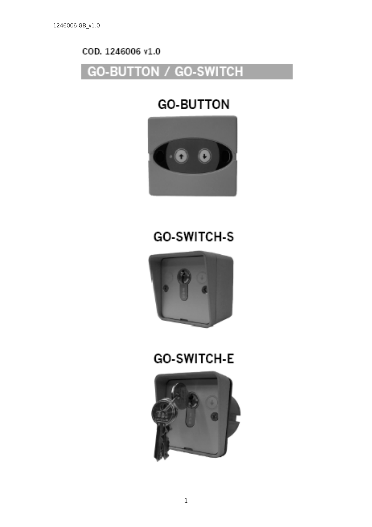### COD, 1246006 v1.0

### **GO-BUTTON / GO-SWITCH**

### **GO-BUTTON**



# **GO-SWITCH-S**



## **GO-SWITCH-E**

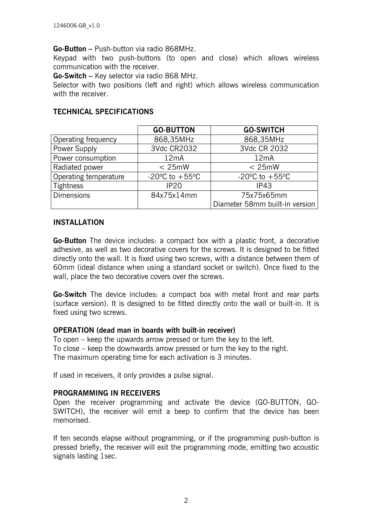#### **Go-Button –** Push-button via radio 868MHz.

Keypad with two push-buttons (to open and close) which allows wireless communication with the receiver.

**Go-Switch –** Key selector via radio 868 MHz.

Selector with two positions (left and right) which allows wireless communication with the receiver.

|                       | <b>GO-BUTTON</b>                   | <b>GO-SWITCH</b>                   |
|-----------------------|------------------------------------|------------------------------------|
| Operating frequency   | 868,35MHz                          | 868,35MHz                          |
| Power Supply          | 3Vdc CR2032                        | 3Vdc CR 2032                       |
| Power consumption     | 12mA                               | 12mA                               |
| Radiated power        | < 25mW                             | $< 25$ mW                          |
| Operating temperature | $-20^{\circ}$ C to $+55^{\circ}$ C | $-20^{\circ}$ C to $+55^{\circ}$ C |
| Tightness             | <b>IP20</b>                        | IP43                               |
| Dimensions            | 84x75x14mm                         | 75x75x65mm                         |
|                       |                                    | Diameter 58mm built-in version     |

#### **TECHNICAL SPECIFICATIONS**

#### **INSTALLATION**

**Go-Button** The device includes: a compact box with a plastic front, a decorative adhesive, as well as two decorative covers for the screws. It is designed to be fitted directly onto the wall. It is fixed using two screws, with a distance between them of 60mm (ideal distance when using a standard socket or switch). Once fixed to the wall, place the two decorative covers over the screws.

**Go-Switch** The device includes: a compact box with metal front and rear parts (surface version). It is designed to be fitted directly onto the wall or built-in. It is fixed using two screws.

#### **OPERATION (dead man in boards with built-in receiver)**

To open – keep the upwards arrow pressed or turn the key to the left. To close – keep the downwards arrow pressed or turn the key to the right. The maximum operating time for each activation is 3 minutes.

If used in receivers, it only provides a pulse signal.

#### **PROGRAMMING IN RECEIVERS**

Open the receiver programming and activate the device (GO-BUTTON, GO-SWITCH), the receiver will emit a beep to confirm that the device has been memorised.

If ten seconds elapse without programming, or if the programming push-button is pressed briefly, the receiver will exit the programming mode, emitting two acoustic signals lasting 1sec.